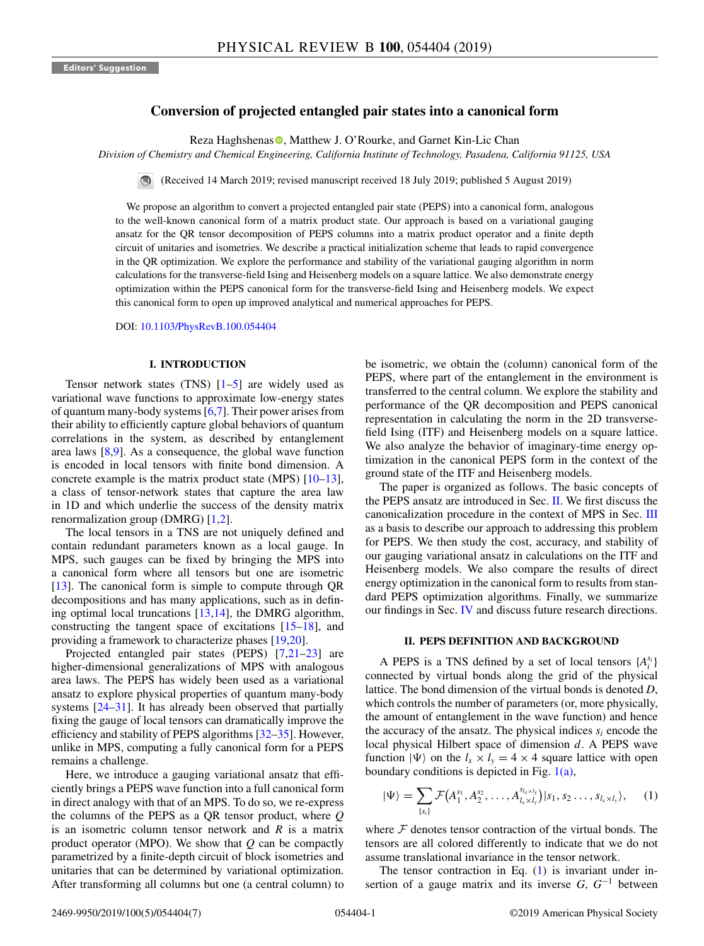# **Conversion of projected entangled pair states into a canonical form**

Reza Haghshenas **.**[,](https://orcid.org/0000-0002-5593-8915) Matthew J. O'Rourke, and Garnet Kin-Lic Chan

*Division of Chemistry and Chemical Engineering, California Institute of Technology, Pasadena, California 91125, USA*

(Received 14 March 2019; revised manuscript received 18 July 2019; published 5 August 2019)

We propose an algorithm to convert a projected entangled pair state (PEPS) into a canonical form, analogous to the well-known canonical form of a matrix product state. Our approach is based on a variational gauging ansatz for the QR tensor decomposition of PEPS columns into a matrix product operator and a finite depth circuit of unitaries and isometries. We describe a practical initialization scheme that leads to rapid convergence in the QR optimization. We explore the performance and stability of the variational gauging algorithm in norm calculations for the transverse-field Ising and Heisenberg models on a square lattice. We also demonstrate energy optimization within the PEPS canonical form for the transverse-field Ising and Heisenberg models. We expect this canonical form to open up improved analytical and numerical approaches for PEPS.

DOI: [10.1103/PhysRevB.100.054404](https://doi.org/10.1103/PhysRevB.100.054404)

#### **I. INTRODUCTION**

Tensor network states  $(TNS)$   $[1–5]$  $[1–5]$  are widely used as variational wave functions to approximate low-energy states of quantum many-body systems [\[6,7\]](#page-6-0). Their power arises from their ability to efficiently capture global behaviors of quantum correlations in the system, as described by entanglement area laws  $[8,9]$ . As a consequence, the global wave function is encoded in local tensors with finite bond dimension. A concrete example is the matrix product state (MPS) [\[10–13\]](#page-6-0), a class of tensor-network states that capture the area law in 1D and which underlie the success of the density matrix renormalization group (DMRG) [\[1,2\]](#page-5-0).

The local tensors in a TNS are not uniquely defined and contain redundant parameters known as a local gauge. In MPS, such gauges can be fixed by bringing the MPS into a canonical form where all tensors but one are isometric [\[13\]](#page-6-0). The canonical form is simple to compute through QR decompositions and has many applications, such as in defining optimal local truncations [\[13,14\]](#page-6-0), the DMRG algorithm, constructing the tangent space of excitations  $[15-18]$ , and providing a framework to characterize phases [\[19,20\]](#page-6-0).

Projected entangled pair states (PEPS) [\[7,21–23\]](#page-6-0) are higher-dimensional generalizations of MPS with analogous area laws. The PEPS has widely been used as a variational ansatz to explore physical properties of quantum many-body systems [\[24–31\]](#page-6-0). It has already been observed that partially fixing the gauge of local tensors can dramatically improve the efficiency and stability of PEPS algorithms [\[32–35\]](#page-6-0). However, unlike in MPS, computing a fully canonical form for a PEPS remains a challenge.

Here, we introduce a gauging variational ansatz that efficiently brings a PEPS wave function into a full canonical form in direct analogy with that of an MPS. To do so, we re-express the columns of the PEPS as a QR tensor product, where *Q* is an isometric column tensor network and *R* is a matrix product operator (MPO). We show that *Q* can be compactly parametrized by a finite-depth circuit of block isometries and unitaries that can be determined by variational optimization. After transforming all columns but one (a central column) to

be isometric, we obtain the (column) canonical form of the PEPS, where part of the entanglement in the environment is transferred to the central column. We explore the stability and performance of the QR decomposition and PEPS canonical representation in calculating the norm in the 2D transversefield Ising (ITF) and Heisenberg models on a square lattice. We also analyze the behavior of imaginary-time energy optimization in the canonical PEPS form in the context of the ground state of the ITF and Heisenberg models.

The paper is organized as follows. The basic concepts of the PEPS ansatz are introduced in Sec. II. We first discuss the canonicalization procedure in the context of MPS in Sec. [III](#page-1-0) as a basis to describe our approach to addressing this problem for PEPS. We then study the cost, accuracy, and stability of our gauging variational ansatz in calculations on the ITF and Heisenberg models. We also compare the results of direct energy optimization in the canonical form to results from standard PEPS optimization algorithms. Finally, we summarize our findings in Sec. [IV](#page-5-0) and discuss future research directions.

#### **II. PEPS DEFINITION AND BACKGROUND**

A PEPS is a TNS defined by a set of local tensors  $\{A_i^{s_i}\}$ connected by virtual bonds along the grid of the physical lattice. The bond dimension of the virtual bonds is denoted *D*, which controls the number of parameters (or, more physically, the amount of entanglement in the wave function) and hence the accuracy of the ansatz. The physical indices  $s_i$  encode the local physical Hilbert space of dimension *d*. A PEPS wave function  $|\Psi\rangle$  on the  $l_x \times l_y = 4 \times 4$  square lattice with open boundary conditions is depicted in Fig.  $1(a)$ ,

$$
|\Psi\rangle = \sum_{\{s_i\}} \mathcal{F}(A_1^{s_1}, A_2^{s_2}, \dots, A_{l_x \times l_y}^{s_{l_x \times l_y}})|s_1, s_2 \dots, s_{l_x \times l_y}\rangle, \quad (1)
$$

where  $F$  denotes tensor contraction of the virtual bonds. The tensors are all colored differently to indicate that we do not assume translational invariance in the tensor network.

The tensor contraction in Eq.  $(1)$  is invariant under insertion of a gauge matrix and its inverse *G*, *G*<sup>−</sup><sup>1</sup> between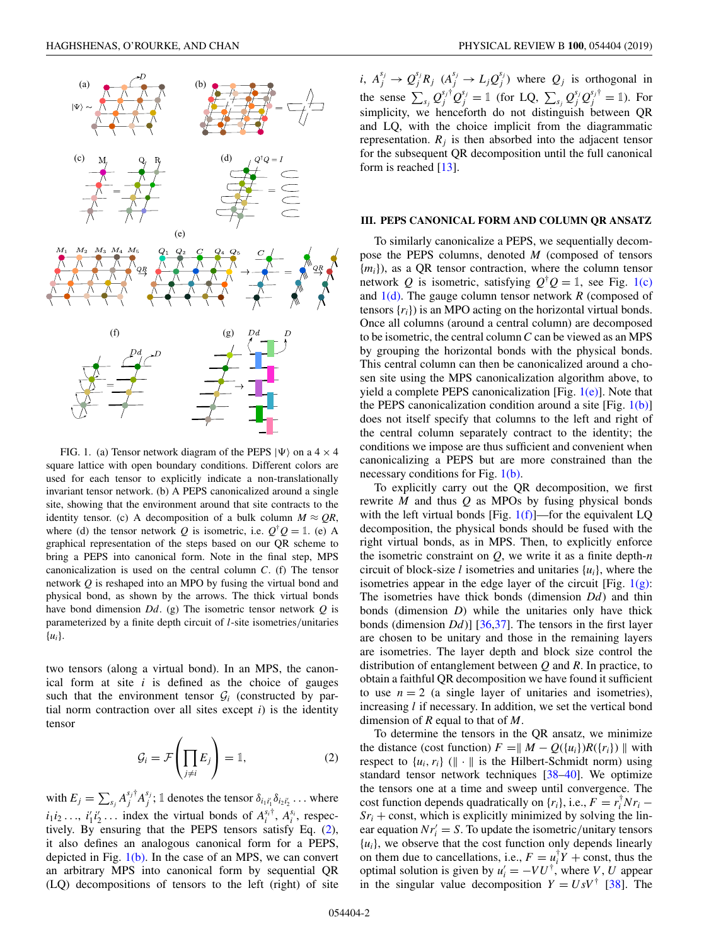<span id="page-1-0"></span>

FIG. 1. (a) Tensor network diagram of the PEPS  $|\Psi\rangle$  on a 4  $\times$  4 square lattice with open boundary conditions. Different colors are used for each tensor to explicitly indicate a non-translationally invariant tensor network. (b) A PEPS canonicalized around a single site, showing that the environment around that site contracts to the identity tensor. (c) A decomposition of a bulk column  $M \approx QR$ , where (d) the tensor network *Q* is isometric, i.e.  $Q^{\dagger}Q = \mathbb{1}$ . (e) A graphical representation of the steps based on our QR scheme to bring a PEPS into canonical form. Note in the final step, MPS canonicalization is used on the central column *C*. (f) The tensor network *Q* is reshaped into an MPO by fusing the virtual bond and physical bond, as shown by the arrows. The thick virtual bonds have bond dimension *Dd*. (g) The isometric tensor network *Q* is parameterized by a finite depth circuit of *l*-site isometries/unitaries {*ui*}.

two tensors (along a virtual bond). In an MPS, the canonical form at site *i* is defined as the choice of gauges such that the environment tensor  $G_i$  (constructed by partial norm contraction over all sites except  $i$ ) is the identity tensor

$$
\mathcal{G}_i = \mathcal{F}\left(\prod_{j \neq i} E_j\right) = \mathbb{1},\tag{2}
$$

with  $E_j = \sum_{s_j} A_j^{s_j \dagger} A_j^{s_j}$ ; 1 denotes the tensor  $\delta_{i_1 i'_1} \delta_{i_2 i'_2} \dots$  where  $i_1 i_2 \ldots$ ,  $i'_1 i'_2 \ldots$  index the virtual bonds of  $A_i^{s_i\dagger}$ ,  $A_i^{s_i}$ , respectively. By ensuring that the PEPS tensors satisfy Eq. (2), it also defines an analogous canonical form for a PEPS, depicted in Fig. 1(b). In the case of an MPS, we can convert an arbitrary MPS into canonical form by sequential QR (LQ) decompositions of tensors to the left (right) of site

*i*,  $A_j^{s_j} \rightarrow Q_j^{s_j} R_j$   $(A_j^{s_j} \rightarrow L_j Q_j^{s_j})$  where  $Q_j$  is orthogonal in the sense  $\sum_{s_j} Q_j^{s_j \dagger} Q_j^{s_j} = \mathbb{1}$  (for LQ,  $\sum_{s_j} Q_j^{s_j} Q_j^{s_j \dagger} = \mathbb{1}$ ). For simplicity, we henceforth do not distinguish between QR and LQ, with the choice implicit from the diagrammatic representation.  $R_i$  is then absorbed into the adjacent tensor for the subsequent QR decomposition until the full canonical form is reached [\[13\]](#page-6-0).

### **III. PEPS CANONICAL FORM AND COLUMN QR ANSATZ**

To similarly canonicalize a PEPS, we sequentially decompose the PEPS columns, denoted *M* (composed of tensors {*mi*}), as a QR tensor contraction, where the column tensor network *Q* is isometric, satisfying  $Q^{\dagger}Q = \mathbb{1}$ , see Fig. 1(c) and  $1(d)$ . The gauge column tensor network *R* (composed of tensors {*ri*}) is an MPO acting on the horizontal virtual bonds. Once all columns (around a central column) are decomposed to be isometric, the central column*C* can be viewed as an MPS by grouping the horizontal bonds with the physical bonds. This central column can then be canonicalized around a chosen site using the MPS canonicalization algorithm above, to yield a complete PEPS canonicalization [Fig.  $1(e)$ ]. Note that the PEPS canonicalization condition around a site  $[Fig, 1(b)]$ does not itself specify that columns to the left and right of the central column separately contract to the identity; the conditions we impose are thus sufficient and convenient when canonicalizing a PEPS but are more constrained than the necessary conditions for Fig. 1(b).

To explicitly carry out the QR decomposition, we first rewrite *M* and thus *Q* as MPOs by fusing physical bonds with the left virtual bonds [Fig.  $1(f)$ ]—for the equivalent LQ decomposition, the physical bonds should be fused with the right virtual bonds, as in MPS. Then, to explicitly enforce the isometric constraint on *Q*, we write it as a finite depth-*n* circuit of block-size *l* isometries and unitaries {*ui*}, where the isometries appear in the edge layer of the circuit [Fig.  $1(g)$ : The isometries have thick bonds (dimension *Dd*) and thin bonds (dimension *D*) while the unitaries only have thick bonds (dimension *Dd*)] [\[36,37\]](#page-6-0). The tensors in the first layer are chosen to be unitary and those in the remaining layers are isometries. The layer depth and block size control the distribution of entanglement between *Q* and *R*. In practice, to obtain a faithful QR decomposition we have found it sufficient to use  $n = 2$  (a single layer of unitaries and isometries), increasing *l* if necessary. In addition, we set the vertical bond dimension of *R* equal to that of *M*.

To determine the tensors in the QR ansatz, we minimize the distance (cost function)  $F = ||M - Q(\{u_i\})R(\{r_i\})||$  with respect to  $\{u_i, r_i\}$  ( $\|\cdot\|$  is the Hilbert-Schmidt norm) using standard tensor network techniques [\[38–40\]](#page-6-0). We optimize the tensors one at a time and sweep until convergence. The cost function depends quadratically on  $\{r_i\}$ , i.e.,  $F = r_i^{\dagger} N r_i$  –  $Sr<sub>i</sub> + const$ , which is explicitly minimized by solving the linear equation  $Nr'_i = S$ . To update the isometric/unitary tensors  ${u_i}$ , we observe that the cost function only depends linearly on them due to cancellations, i.e.,  $F = u_i^{\dagger} Y + \text{const}$ , thus the optimal solution is given by  $u'_i = -VU^{\dagger}$ , where *V*, *U* appear in the singular value decomposition  $Y = U s V^{\dagger}$  [\[38\]](#page-6-0). The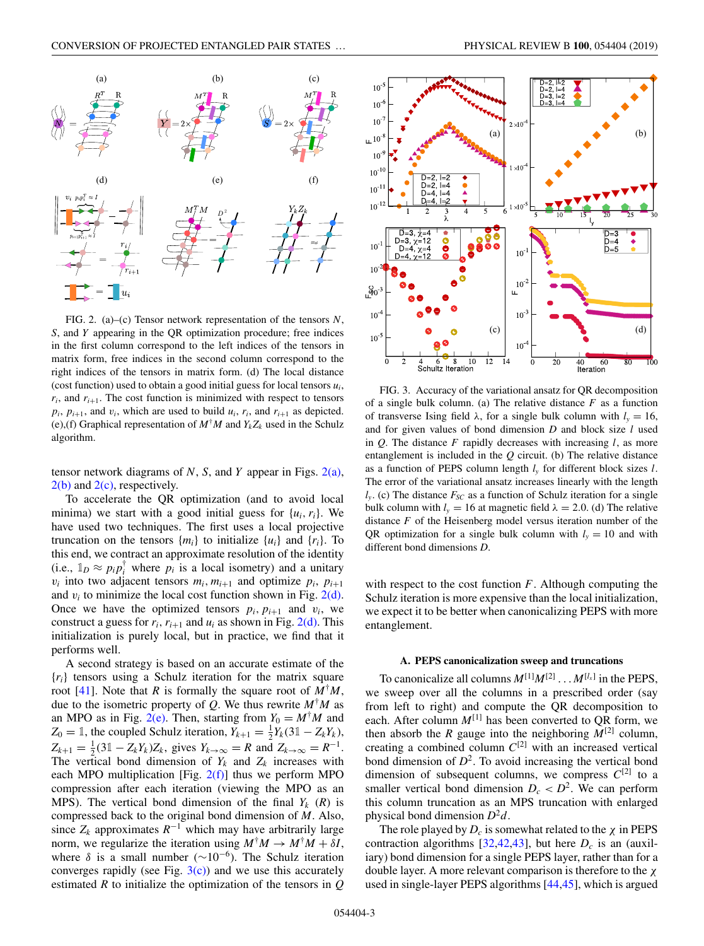<span id="page-2-0"></span>

FIG. 2. (a)–(c) Tensor network representation of the tensors *N*, *S*, and *Y* appearing in the QR optimization procedure; free indices in the first column correspond to the left indices of the tensors in matrix form, free indices in the second column correspond to the right indices of the tensors in matrix form. (d) The local distance (cost function) used to obtain a good initial guess for local tensors *ui*,  $r_i$ , and  $r_{i+1}$ . The cost function is minimized with respect to tensors  $p_i$ ,  $p_{i+1}$ , and  $v_i$ , which are used to build  $u_i$ ,  $r_i$ , and  $r_{i+1}$  as depicted. (e),(f) Graphical representation of  $M^{\dagger}M$  and  $Y_kZ_k$  used in the Schulz algorithm.

tensor network diagrams of *N*, *S*, and *Y* appear in Figs. 2(a),  $2(b)$  and  $2(c)$ , respectively.

To accelerate the QR optimization (and to avoid local minima) we start with a good initial guess for {*ui*,*ri*}. We have used two techniques. The first uses a local projective truncation on the tensors  $\{m_i\}$  to initialize  $\{u_i\}$  and  $\{r_i\}$ . To this end, we contract an approximate resolution of the identity (i.e.,  $\mathbb{1}_D \approx p_i p_i^{\dagger}$  where  $p_i$  is a local isometry) and a unitary  $v_i$  into two adjacent tensors  $m_i$ ,  $m_{i+1}$  and optimize  $p_i$ ,  $p_{i+1}$ and  $v_i$  to minimize the local cost function shown in Fig.  $2(d)$ . Once we have the optimized tensors  $p_i$ ,  $p_{i+1}$  and  $v_i$ , we construct a guess for  $r_i$ ,  $r_{i+1}$  and  $u_i$  as shown in Fig. 2(d). This initialization is purely local, but in practice, we find that it performs well.

A second strategy is based on an accurate estimate of the {*ri*} tensors using a Schulz iteration for the matrix square root [\[41\]](#page-6-0). Note that *R* is formally the square root of  $M^{\dagger}M$ , due to the isometric property of *Q*. We thus rewrite  $M^{\dagger}M$  as an MPO as in Fig.  $2(e)$ . Then, starting from  $Y_0 = M^{\dagger}M$  and  $Z_0 = \mathbb{1}$ , the coupled Schulz iteration,  $Y_{k+1} = \frac{1}{2}Y_k(3\mathbb{1} - Z_kY_k)$ ,  $Z_{k+1} = \frac{1}{2} (31 - Z_k Y_k) Z_k$ , gives  $Y_{k \to \infty} = R$  and  $Z_{k \to \infty} = R^{-1}$ . The vertical bond dimension of  $Y_k$  and  $Z_k$  increases with each MPO multiplication [Fig.  $2(f)$ ] thus we perform MPO compression after each iteration (viewing the MPO as an MPS). The vertical bond dimension of the final  $Y_k$  ( $R$ ) is compressed back to the original bond dimension of *M*. Also, since  $Z_k$  approximates  $R^{-1}$  which may have arbitrarily large norm, we regularize the iteration using  $M^{\dagger}M \to M^{\dagger}M + \delta I$ , where  $\delta$  is a small number ( $\sim 10^{-6}$ ). The Schulz iteration converges rapidly (see Fig.  $3(c)$ ) and we use this accurately estimated *R* to initialize the optimization of the tensors in *Q*



FIG. 3. Accuracy of the variational ansatz for QR decomposition of a single bulk column. (a) The relative distance *F* as a function of transverse Ising field  $\lambda$ , for a single bulk column with  $l<sub>v</sub> = 16$ , and for given values of bond dimension *D* and block size *l* used in *Q*. The distance *F* rapidly decreases with increasing *l*, as more entanglement is included in the *Q* circuit. (b) The relative distance as a function of PEPS column length *ly* for different block sizes *l*. The error of the variational ansatz increases linearly with the length  $l_{v}$ . (c) The distance  $F_{SC}$  as a function of Schulz iteration for a single bulk column with  $l_v = 16$  at magnetic field  $\lambda = 2.0$ . (d) The relative distance *F* of the Heisenberg model versus iteration number of the QR optimization for a single bulk column with  $l<sub>v</sub> = 10$  and with different bond dimensions *D*.

with respect to the cost function *F*. Although computing the Schulz iteration is more expensive than the local initialization, we expect it to be better when canonicalizing PEPS with more entanglement.

#### **A. PEPS canonicalization sweep and truncations**

To canonicalize all columns  $M^{[1]}M^{[2]} \dots M^{[l_x]}$  in the PEPS, we sweep over all the columns in a prescribed order (say from left to right) and compute the QR decomposition to each. After column  $M^{[1]}$  has been converted to QR form, we then absorb the *R* gauge into the neighboring  $M^{[2]}$  column, creating a combined column  $C^{[2]}$  with an increased vertical bond dimension of  $D^2$ . To avoid increasing the vertical bond dimension of subsequent columns, we compress  $C^{[2]}$  to a smaller vertical bond dimension  $D_c < D^2$ . We can perform this column truncation as an MPS truncation with enlarged physical bond dimension  $D^2d$ .

The role played by  $D_c$  is somewhat related to the  $\chi$  in PEPS contraction algorithms  $[32,42,43]$ , but here  $D<sub>c</sub>$  is an (auxiliary) bond dimension for a single PEPS layer, rather than for a double layer. A more relevant comparison is therefore to the χ used in single-layer PEPS algorithms [\[44,45\]](#page-6-0), which is argued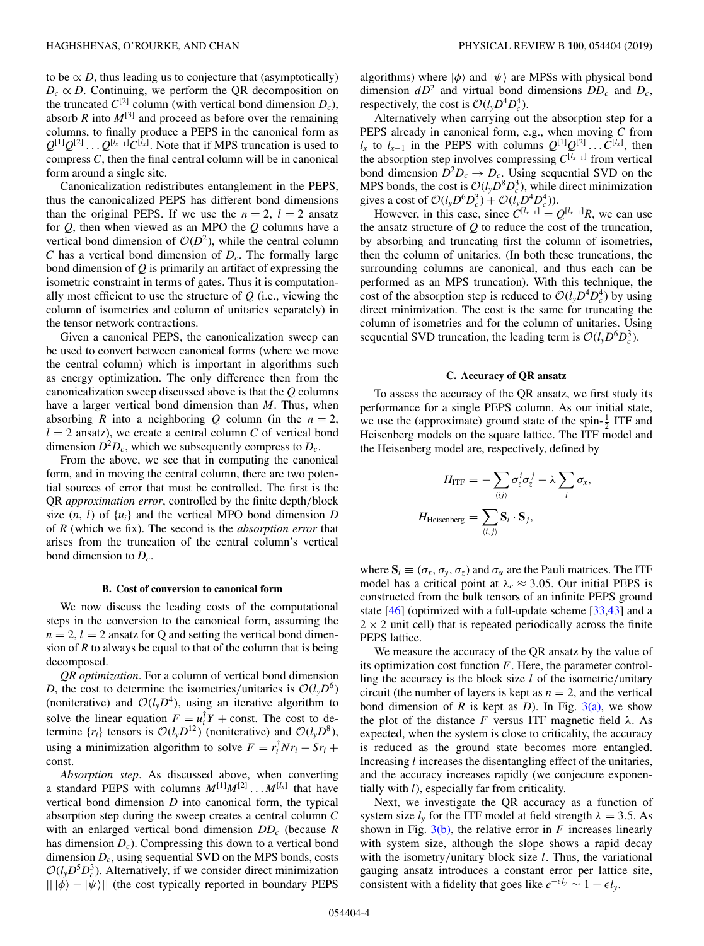to be  $\propto D$ , thus leading us to conjecture that (asymptotically)  $D_c \propto D$ . Continuing, we perform the QR decomposition on the truncated  $C^{[2]}$  column (with vertical bond dimension  $D_c$ ), absorb  $R$  into  $M^{[3]}$  and proceed as before over the remaining columns, to finally produce a PEPS in the canonical form as  $Q^{[1]}Q^{[2]} \dots Q^{[l_{x-1}]}C^{[l_x]}$ . Note that if MPS truncation is used to compress *C*, then the final central column will be in canonical form around a single site.

Canonicalization redistributes entanglement in the PEPS, thus the canonicalized PEPS has different bond dimensions than the original PEPS. If we use the  $n = 2$ ,  $l = 2$  ansatz for *Q*, then when viewed as an MPO the *Q* columns have a vertical bond dimension of  $O(D^2)$ , while the central column *C* has a vertical bond dimension of  $D_c$ . The formally large bond dimension of *Q* is primarily an artifact of expressing the isometric constraint in terms of gates. Thus it is computationally most efficient to use the structure of *Q* (i.e., viewing the column of isometries and column of unitaries separately) in the tensor network contractions.

Given a canonical PEPS, the canonicalization sweep can be used to convert between canonical forms (where we move the central column) which is important in algorithms such as energy optimization. The only difference then from the canonicalization sweep discussed above is that the *Q* columns have a larger vertical bond dimension than *M*. Thus, when absorbing *R* into a neighboring *Q* column (in the  $n = 2$ ,  $l = 2$  ansatz), we create a central column *C* of vertical bond dimension  $D^2D_c$ , which we subsequently compress to  $D_c$ .

From the above, we see that in computing the canonical form, and in moving the central column, there are two potential sources of error that must be controlled. The first is the QR *approximation error*, controlled by the finite depth/block size  $(n, l)$  of  $\{u_i\}$  and the vertical MPO bond dimension *D* of *R* (which we fix). The second is the *absorption error* that arises from the truncation of the central column's vertical bond dimension to *Dc*.

#### **B. Cost of conversion to canonical form**

We now discuss the leading costs of the computational steps in the conversion to the canonical form, assuming the  $n = 2, l = 2$  ansatz for Q and setting the vertical bond dimension of *R* to always be equal to that of the column that is being decomposed.

*QR optimization*. For a column of vertical bond dimension *D*, the cost to determine the isometries/unitaries is  $O(l_vD^6)$ (noniterative) and  $O(l_yD^4)$ , using an iterative algorithm to solve the linear equation  $F = u_i^{\dagger} Y + \text{const.}$  The cost to determine  $\{r_i\}$  tensors is  $\mathcal{O}(l_v D^{12})$  (noniterative) and  $\mathcal{O}(l_v D^8)$ , using a minimization algorithm to solve  $F = r_i^{\dagger} N r_i - S r_i +$ const.

*Absorption step*. As discussed above, when converting a standard PEPS with columns  $M^{[1]}M^{[2]} \dots M^{[l_x]}$  that have vertical bond dimension *D* into canonical form, the typical absorption step during the sweep creates a central column *C* with an enlarged vertical bond dimension *DDc* (because *R* has dimension *Dc*). Compressing this down to a vertical bond dimension *Dc*, using sequential SVD on the MPS bonds, costs  $\mathcal{O}(l_y D^5 D_c^3)$ . Alternatively, if we consider direct minimization  $|| \psi - | \psi \rangle||$  (the cost typically reported in boundary PEPS

algorithms) where  $|\phi\rangle$  and  $|\psi\rangle$  are MPSs with physical bond dimension  $dD^2$  and virtual bond dimensions  $DD_c$  and  $D_c$ , respectively, the cost is  $\mathcal{O}(l_y D^4 D_c^4)$ .

Alternatively when carrying out the absorption step for a PEPS already in canonical form, e.g., when moving *C* from *l<sub>x</sub>* to *l<sub>x−1</sub>* in the PEPS with columns  $Q^{[1]}Q^{[2]} \dots C^{[l_x]}$ , then the absorption step involves compressing  $C^{[l_{x-1}]}$  from vertical bond dimension  $\bar{D}^2 D_c \rightarrow D_c$ . Using sequential SVD on the MPS bonds, the cost is  $O(l_yD^8D_c^3)$ , while direct minimization gives a cost of  $\mathcal{O}(l_y D^6 D_c^3) + \mathcal{O}(l_y D^4 D_c^4)$ .

However, in this case, since  $C^{[l_{x-1}]} = Q^{[l_{x-1}]}R$ , we can use the ansatz structure of *Q* to reduce the cost of the truncation, by absorbing and truncating first the column of isometries, then the column of unitaries. (In both these truncations, the surrounding columns are canonical, and thus each can be performed as an MPS truncation). With this technique, the cost of the absorption step is reduced to  $\mathcal{O}(l_y D^4 D_c^4)$  by using direct minimization. The cost is the same for truncating the column of isometries and for the column of unitaries. Using sequential SVD truncation, the leading term is  $\mathcal{O}(l_y D^6 D_c^3)$ .

## **C. Accuracy of QR ansatz**

To assess the accuracy of the QR ansatz, we first study its performance for a single PEPS column. As our initial state, we use the (approximate) ground state of the spin- $\frac{1}{2}$  ITF and Heisenberg models on the square lattice. The ITF model and the Heisenberg model are, respectively, defined by

$$
H_{\text{ITF}} = -\sum_{\langle ij \rangle} \sigma_z^i \sigma_z^j - \lambda \sum_i \sigma_x,
$$
  

$$
H_{\text{Heisenberg}} = \sum_{\langle i,j \rangle} \mathbf{S}_i \cdot \mathbf{S}_j,
$$

where  $S_i \equiv (\sigma_x, \sigma_y, \sigma_z)$  and  $\sigma_\alpha$  are the Pauli matrices. The ITF model has a critical point at  $\lambda_c \approx 3.05$ . Our initial PEPS is constructed from the bulk tensors of an infinite PEPS ground state [\[46\]](#page-6-0) (optimized with a full-update scheme [\[33,43\]](#page-6-0) and a  $2 \times 2$  unit cell) that is repeated periodically across the finite PEPS lattice.

We measure the accuracy of the QR ansatz by the value of its optimization cost function *F*. Here, the parameter controlling the accuracy is the block size *l* of the isometric/unitary circuit (the number of layers is kept as  $n = 2$ , and the vertical bond dimension of *R* is kept as *D*). In Fig. [3\(a\),](#page-2-0) we show the plot of the distance  $F$  versus ITF magnetic field  $\lambda$ . As expected, when the system is close to criticality, the accuracy is reduced as the ground state becomes more entangled. Increasing *l* increases the disentangling effect of the unitaries, and the accuracy increases rapidly (we conjecture exponentially with *l*), especially far from criticality.

Next, we investigate the QR accuracy as a function of system size  $l<sub>v</sub>$  for the ITF model at field strength  $\lambda = 3.5$ . As shown in Fig.  $3(b)$ , the relative error in *F* increases linearly with system size, although the slope shows a rapid decay with the isometry/unitary block size *l*. Thus, the variational gauging ansatz introduces a constant error per lattice site, consistent with a fidelity that goes like  $e^{-\epsilon l_y} \sim 1 - \epsilon l_y$ .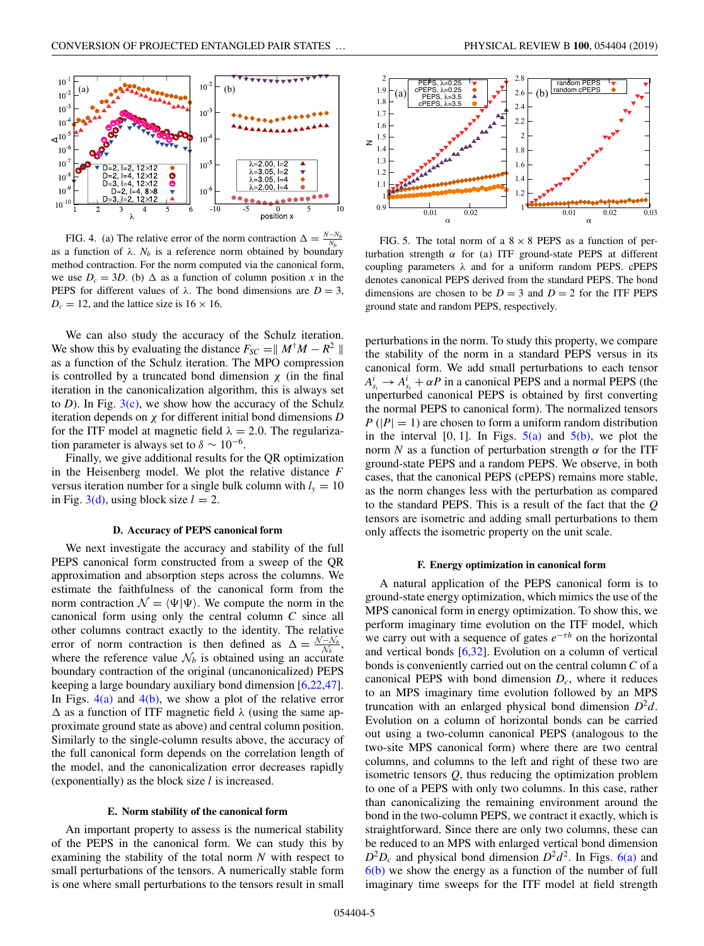

FIG. 4. (a) The relative error of the norm contraction  $\Delta = \frac{N - N_b}{N_b}$ as a function of  $\lambda$ .  $N_b$  is a reference norm obtained by boundary method contraction. For the norm computed via the canonical form, we use  $D_c = 3D$ . (b)  $\Delta$  as a function of column position *x* in the PEPS for different values of  $\lambda$ . The bond dimensions are  $D = 3$ ,  $D_c = 12$ , and the lattice size is  $16 \times 16$ .

We can also study the accuracy of the Schulz iteration. We show this by evaluating the distance  $F_{SC} = ||M^{\dagger}M - R^2||$ as a function of the Schulz iteration. The MPO compression is controlled by a truncated bond dimension  $\chi$  (in the final iteration in the canonicalization algorithm, this is always set to *D*). In Fig.  $3(c)$ , we show how the accuracy of the Schulz iteration depends on χ for different initial bond dimensions *D* for the ITF model at magnetic field  $\lambda = 2.0$ . The regularization parameter is always set to  $\delta \sim 10^{-6}$ .

Finally, we give additional results for the QR optimization in the Heisenberg model. We plot the relative distance *F* versus iteration number for a single bulk column with  $l<sub>y</sub> = 10$ in Fig. [3\(d\),](#page-2-0) using block size  $l = 2$ .

## **D. Accuracy of PEPS canonical form**

We next investigate the accuracy and stability of the full PEPS canonical form constructed from a sweep of the QR approximation and absorption steps across the columns. We estimate the faithfulness of the canonical form from the norm contraction  $\mathcal{N} = \langle \Psi | \Psi \rangle$ . We compute the norm in the canonical form using only the central column *C* since all other columns contract exactly to the identity. The relative error of norm contraction is then defined as  $\Delta = \frac{N - N_b}{N_b}$ , where the reference value  $\mathcal{N}_b$  is obtained using an accurate boundary contraction of the original (uncanonicalized) PEPS keeping a large boundary auxiliary bond dimension [\[6,22,47\]](#page-6-0). In Figs.  $4(a)$  and  $4(b)$ , we show a plot of the relative error  $\Delta$  as a function of ITF magnetic field  $\lambda$  (using the same approximate ground state as above) and central column position. Similarly to the single-column results above, the accuracy of the full canonical form depends on the correlation length of the model, and the canonicalization error decreases rapidly (exponentially) as the block size *l* is increased.

#### **E. Norm stability of the canonical form**

An important property to assess is the numerical stability of the PEPS in the canonical form. We can study this by examining the stability of the total norm *N* with respect to small perturbations of the tensors. A numerically stable form is one where small perturbations to the tensors result in small



1

 $0.9$ 1

 $\frac{0.01}{\alpha}$  0.02

FIG. 5. The total norm of a  $8 \times 8$  PEPS as a function of perturbation strength  $\alpha$  for (a) ITF ground-state PEPS at different coupling parameters  $\lambda$  and for a uniform random PEPS. cPEPS denotes canonical PEPS derived from the standard PEPS. The bond dimensions are chosen to be  $D = 3$  and  $D = 2$  for the ITF PEPS ground state and random PEPS, respectively.

perturbations in the norm. To study this property, we compare the stability of the norm in a standard PEPS versus in its canonical form. We add small perturbations to each tensor  $A_{s_i}^i \rightarrow A_{s_i}^i + \alpha P$  in a canonical PEPS and a normal PEPS (the unperturbed canonical PEPS is obtained by first converting the normal PEPS to canonical form). The normalized tensors  $P(|P| = 1)$  are chosen to form a uniform random distribution in the interval  $[0, 1]$ . In Figs.  $5(a)$  and  $5(b)$ , we plot the norm *N* as a function of perturbation strength  $\alpha$  for the ITF ground-state PEPS and a random PEPS. We observe, in both cases, that the canonical PEPS (cPEPS) remains more stable, as the norm changes less with the perturbation as compared to the standard PEPS. This is a result of the fact that the *Q* tensors are isometric and adding small perturbations to them only affects the isometric property on the unit scale.

#### **F. Energy optimization in canonical form**

A natural application of the PEPS canonical form is to ground-state energy optimization, which mimics the use of the MPS canonical form in energy optimization. To show this, we perform imaginary time evolution on the ITF model, which we carry out with a sequence of gates *e*<sup>−</sup>τ*<sup>h</sup>* on the horizontal and vertical bonds [\[6,32\]](#page-6-0). Evolution on a column of vertical bonds is conveniently carried out on the central column *C* of a canonical PEPS with bond dimension  $D_c$ , where it reduces to an MPS imaginary time evolution followed by an MPS truncation with an enlarged physical bond dimension  $D^2d$ . Evolution on a column of horizontal bonds can be carried out using a two-column canonical PEPS (analogous to the two-site MPS canonical form) where there are two central columns, and columns to the left and right of these two are isometric tensors *Q*, thus reducing the optimization problem to one of a PEPS with only two columns. In this case, rather than canonicalizing the remaining environment around the bond in the two-column PEPS, we contract it exactly, which is straightforward. Since there are only two columns, these can be reduced to an MPS with enlarged vertical bond dimension  $D^2D_c$  and physical bond dimension  $D^2d^2$ . In Figs. [6\(a\)](#page-5-0) and  $6(b)$  we show the energy as a function of the number of full imaginary time sweeps for the ITF model at field strength

 $0.01$   $0.02$   $0.03$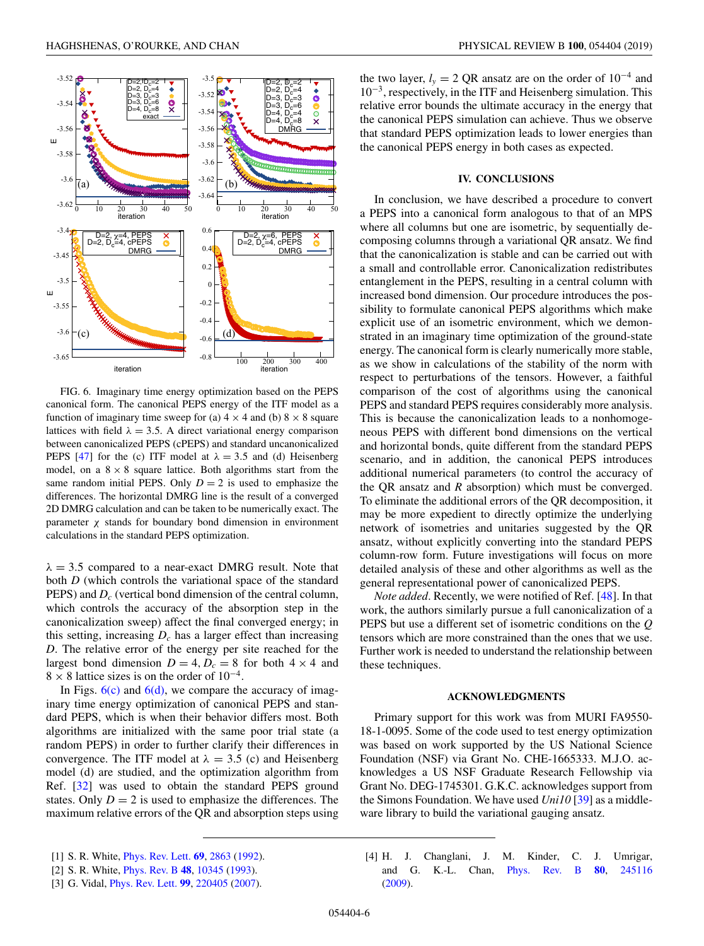<span id="page-5-0"></span>

FIG. 6. Imaginary time energy optimization based on the PEPS canonical form. The canonical PEPS energy of the ITF model as a function of imaginary time sweep for (a)  $4 \times 4$  and (b)  $8 \times 8$  square lattices with field  $\lambda = 3.5$ . A direct variational energy comparison between canonicalized PEPS (cPEPS) and standard uncanonicalized PEPS [\[47\]](#page-6-0) for the (c) ITF model at  $\lambda = 3.5$  and (d) Heisenberg model, on a  $8 \times 8$  square lattice. Both algorithms start from the same random initial PEPS. Only  $D = 2$  is used to emphasize the differences. The horizontal DMRG line is the result of a converged 2D DMRG calculation and can be taken to be numerically exact. The parameter  $\chi$  stands for boundary bond dimension in environment calculations in the standard PEPS optimization.

 $\lambda = 3.5$  compared to a near-exact DMRG result. Note that both *D* (which controls the variational space of the standard PEPS) and *D<sub>c</sub>* (vertical bond dimension of the central column, which controls the accuracy of the absorption step in the canonicalization sweep) affect the final converged energy; in this setting, increasing  $D_c$  has a larger effect than increasing *D*. The relative error of the energy per site reached for the largest bond dimension  $D = 4$ ,  $D_c = 8$  for both  $4 \times 4$  and  $8 \times 8$  lattice sizes is on the order of 10<sup>-4</sup>.

In Figs.  $6(c)$  and  $6(d)$ , we compare the accuracy of imaginary time energy optimization of canonical PEPS and standard PEPS, which is when their behavior differs most. Both algorithms are initialized with the same poor trial state (a random PEPS) in order to further clarify their differences in convergence. The ITF model at  $\lambda = 3.5$  (c) and Heisenberg model (d) are studied, and the optimization algorithm from Ref. [\[32\]](#page-6-0) was used to obtain the standard PEPS ground states. Only  $D = 2$  is used to emphasize the differences. The maximum relative errors of the QR and absorption steps using the two layer,  $l<sub>y</sub> = 2 QR$  ansatz are on the order of 10<sup>-4</sup> and 10<sup>−</sup>3, respectively, in the ITF and Heisenberg simulation. This relative error bounds the ultimate accuracy in the energy that the canonical PEPS simulation can achieve. Thus we observe that standard PEPS optimization leads to lower energies than the canonical PEPS energy in both cases as expected.

# **IV. CONCLUSIONS**

In conclusion, we have described a procedure to convert a PEPS into a canonical form analogous to that of an MPS where all columns but one are isometric, by sequentially decomposing columns through a variational QR ansatz. We find that the canonicalization is stable and can be carried out with a small and controllable error. Canonicalization redistributes entanglement in the PEPS, resulting in a central column with increased bond dimension. Our procedure introduces the possibility to formulate canonical PEPS algorithms which make explicit use of an isometric environment, which we demonstrated in an imaginary time optimization of the ground-state energy. The canonical form is clearly numerically more stable, as we show in calculations of the stability of the norm with respect to perturbations of the tensors. However, a faithful comparison of the cost of algorithms using the canonical PEPS and standard PEPS requires considerably more analysis. This is because the canonicalization leads to a nonhomogeneous PEPS with different bond dimensions on the vertical and horizontal bonds, quite different from the standard PEPS scenario, and in addition, the canonical PEPS introduces additional numerical parameters (to control the accuracy of the QR ansatz and *R* absorption) which must be converged. To eliminate the additional errors of the QR decomposition, it may be more expedient to directly optimize the underlying network of isometries and unitaries suggested by the QR ansatz, without explicitly converting into the standard PEPS column-row form. Future investigations will focus on more detailed analysis of these and other algorithms as well as the general representational power of canonicalized PEPS.

*Note added*. Recently, we were notified of Ref. [\[48\]](#page-6-0). In that work, the authors similarly pursue a full canonicalization of a PEPS but use a different set of isometric conditions on the *Q* tensors which are more constrained than the ones that we use. Further work is needed to understand the relationship between these techniques.

# **ACKNOWLEDGMENTS**

Primary support for this work was from MURI FA9550- 18-1-0095. Some of the code used to test energy optimization was based on work supported by the US National Science Foundation (NSF) via Grant No. CHE-1665333. M.J.O. acknowledges a US NSF Graduate Research Fellowship via Grant No. DEG-1745301. G.K.C. acknowledges support from the Simons Foundation. We have used *Uni10* [\[39\]](#page-6-0) as a middleware library to build the variational gauging ansatz.

[4] H. J. Changlani, J. M. Kinder, C. J. Umrigar, and G. K.-L. Chan, [Phys. Rev. B](https://doi.org/10.1103/PhysRevB.80.245116) **[80](https://doi.org/10.1103/PhysRevB.80.245116)**, [245116](https://doi.org/10.1103/PhysRevB.80.245116) [\(2009\)](https://doi.org/10.1103/PhysRevB.80.245116).

<sup>[1]</sup> S. R. White, [Phys. Rev. Lett.](https://doi.org/10.1103/PhysRevLett.69.2863) **[69](https://doi.org/10.1103/PhysRevLett.69.2863)**, [2863](https://doi.org/10.1103/PhysRevLett.69.2863) [\(1992\)](https://doi.org/10.1103/PhysRevLett.69.2863).

<sup>[2]</sup> S. R. White, [Phys. Rev. B](https://doi.org/10.1103/PhysRevB.48.10345) **[48](https://doi.org/10.1103/PhysRevB.48.10345)**, [10345](https://doi.org/10.1103/PhysRevB.48.10345) [\(1993\)](https://doi.org/10.1103/PhysRevB.48.10345).

<sup>[3]</sup> G. Vidal, [Phys. Rev. Lett.](https://doi.org/10.1103/PhysRevLett.99.220405) **[99](https://doi.org/10.1103/PhysRevLett.99.220405)**, [220405](https://doi.org/10.1103/PhysRevLett.99.220405) [\(2007\)](https://doi.org/10.1103/PhysRevLett.99.220405).